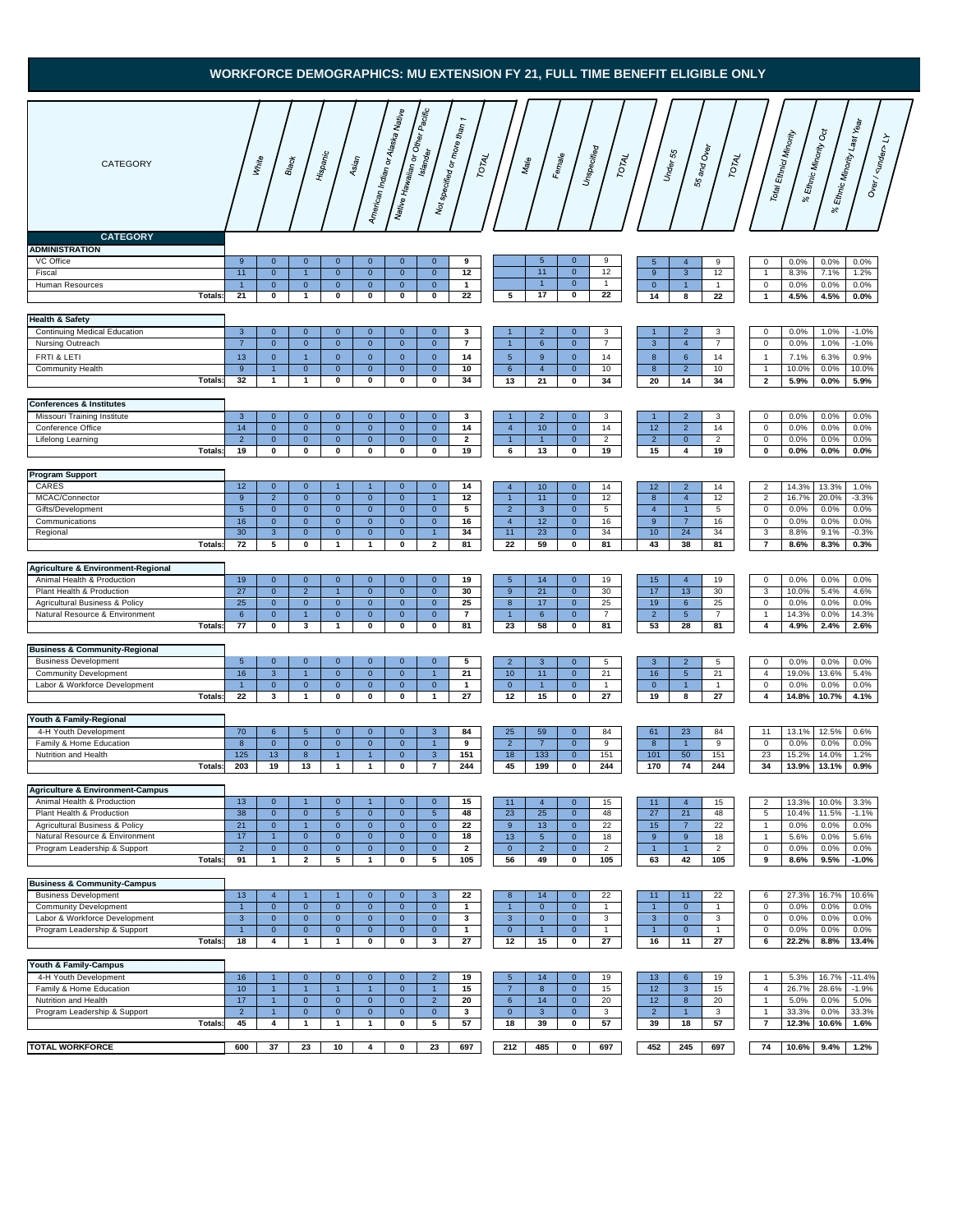## **WORKFORCE DEMOGRAPHICS: MU EXTENSION FY 21, FULL TIME BENEFIT ELIGIBLE ONLY**

| CATEGORY<br><b>CATEGORY</b>                                                                                                                                                       | White                                                           | Hispanic<br><b>Black</b>                                                                                                                                                    | American Indian or Alaska Native   <br>Asian                                                                                                                                                 | Native Havaiian or Other Pacific                                                                                                                                                              | Not specified or more than 1<br>TOTAL                    | Male                                                                           | Unspecified<br>Female                                                                                                                                               | TOTAL                                                                                                       | 55 and Over<br>U <sub>nder 55</sub><br>TOTAL                                                                       | <sup>6</sup> Ethnic Minority Oct<br>Total Ethnici Minority<br>$\aleph$                                                 | 's Ethnic Minority Last Year<br>Over / $\lt d$ under> Ly<br>$\aleph$                                 |
|-----------------------------------------------------------------------------------------------------------------------------------------------------------------------------------|-----------------------------------------------------------------|-----------------------------------------------------------------------------------------------------------------------------------------------------------------------------|----------------------------------------------------------------------------------------------------------------------------------------------------------------------------------------------|-----------------------------------------------------------------------------------------------------------------------------------------------------------------------------------------------|----------------------------------------------------------|--------------------------------------------------------------------------------|---------------------------------------------------------------------------------------------------------------------------------------------------------------------|-------------------------------------------------------------------------------------------------------------|--------------------------------------------------------------------------------------------------------------------|------------------------------------------------------------------------------------------------------------------------|------------------------------------------------------------------------------------------------------|
| <b>ADMINISTRATION</b><br>VC Office<br>Fiscal<br>Human Resources<br><b>Totals:</b>                                                                                                 | 9<br>11<br>$\mathbf{1}$<br>21                                   | $\mathbf{0}$<br>$\mathbf{0}$<br>$\mathbf 0$<br>$\overline{1}$<br>$\mathbf 0$<br>$\mathbf 0$<br>0<br>$\mathbf{1}$                                                            | $\mathbf{0}$<br>$\mathbf 0$<br>$\mathbf 0$<br>$\mathbf 0$<br>$\pmb{0}$<br>$\mathbf{0}$<br>0<br>0                                                                                             | $\mathbf{0}$<br>$\mathbf{0}$<br>$\mathbf 0$<br>$\mathbf 0$<br>$\mathbf 0$<br>$\mathbf 0$<br>0<br>0                                                                                            | 9<br>12<br>$\mathbf{1}$<br>22                            | 5                                                                              | $5\phantom{.0}$<br>$\mathbf{0}$<br>11<br>$\mathbf{0}$<br>$\mathbf{0}$<br>1<br>17<br>$\mathbf 0$                                                                     | 9<br>$5\phantom{.0}$<br>12<br>9<br>$\mathbf{1}$<br>$\mathbf 0$<br>22<br>14                                  | $\overline{4}$<br>9<br>$\mathbf{3}$<br>12<br>1<br>$\mathbf{1}$<br>22<br>8                                          | 0.0%<br>0<br>8.3%<br>$\mathbf{1}$<br>$\mathsf{O}\xspace$<br>0.0%<br>4.5%<br>$\mathbf{1}$                               | 0.0%<br>0.0%<br>7.1%<br>1.2%<br>0.0%<br>0.0%<br>4.5%<br>0.0%                                         |
| <b>Health &amp; Safety</b><br><b>Continuing Medical Education</b><br>Nursing Outreach<br>FRTI & LETI<br><b>Community Health</b><br>Totals:                                        | $\mathbf{3}$<br>$\overline{7}$<br>13<br>9<br>32<br>$\mathbf{1}$ | $\mathbf{0}$<br>$\mathbf{0}$<br>$\mathbf 0$<br>$\mathbf{0}$<br>$\overline{1}$<br>$\mathbf{0}$<br>$\mathbf{1}$<br>$\mathbf{0}$<br>$\mathbf{1}$                               | $\mathbf{0}$<br>$\mathbf{0}$<br>$\mathbf 0$<br>$\mathbf{0}$<br>$\mathbf 0$<br>$\mathbf{0}$<br>$\mathbf 0$<br>$\mathbf{0}$<br>0<br>0                                                          | $\mathbf{0}$<br>$\mathbf{0}$<br>$\overline{0}$<br>$\mathbf{0}$<br>$\mathbf{0}$<br>$\mathbf{0}$<br>$\mathbf{0}$<br>$\mathbf{0}$<br>0<br>0                                                      | 3<br>$\overline{7}$<br>14<br>10<br>34                    | $\overline{1}$<br>5 <sup>5</sup><br>$6\phantom{.}6$<br>13                      | $\overline{2}$<br>$\mathbf{0}$<br>$\mathbf{0}$<br>6<br>9<br>$\mathbf{0}$<br>$\overline{4}$<br>$\mathbf{0}$<br>21<br>0                                               | 3<br>$\mathbf{1}$<br>$\overline{7}$<br>$\mathbf{3}$<br>8<br>14<br>10<br>$\boldsymbol{8}$<br>34<br>20        | $\overline{2}$<br>3<br>$\overline{4}$<br>$\overline{7}$<br>$\,$ 6<br>14<br>$\overline{2}$<br>10<br>14<br>34        | 0.0%<br>0<br>$\mathsf{O}\xspace$<br>0.0%<br>7.1%<br>$\overline{1}$<br>10.0%<br>$\overline{1}$<br>$\mathbf{2}$<br>5.9%  | 1.0%<br>$-1.0%$<br>1.0%<br>$-1.0%$<br>6.3%<br>0.9%<br>0.0%<br>10.0%<br>5.9%<br>0.0%                  |
| <b>Conferences &amp; Institutes</b><br>Missouri Training Institute<br>Conference Office<br>Lifelong Learning<br><b>Totals</b>                                                     | $\mathbf{3}$<br>14<br>$\overline{2}$<br>19                      | $\mathbf{0}$<br>$\mathbf 0$<br>$\mathbf{0}$<br>$\mathbf{0}$<br>$\mathbf{0}$<br>$\mathbf{0}$<br>0<br>0                                                                       | $\mathbf{0}$<br>$\mathbf{0}$<br>$\mathbf{0}$<br>$\mathbf{0}$<br>$\mathbf{0}$<br>$\mathbf{0}$<br>0<br>0                                                                                       | $\mathbf{0}$<br>$\mathbf{0}$<br>$\mathbf{0}$<br>$\mathbf{0}$<br>$\overline{0}$<br>$\mathbf{0}$<br>0<br>0                                                                                      | 3<br>14<br>$\mathbf{2}$<br>19                            | $\mathbf{1}$<br>$\overline{4}$<br>$\mathbf{1}$<br>6                            | $\overline{2}$<br>$\mathbf{0}$<br>10<br>$\mathbf{0}$<br>$\overline{1}$<br>$\mathbf{0}$<br>13<br>0                                                                   | 3<br>$\mathbf{1}$<br>14<br>12<br>$\overline{2}$<br>$\overline{2}$<br>19<br>15                               | $\overline{2}$<br>3<br>$\overline{2}$<br>14<br>$\overline{0}$<br>$\overline{2}$<br>4<br>19                         | $\mathbf 0$<br>0.0%<br>$\mathsf 0$<br>0.0%<br>$\mathbf 0$<br>0.0%<br>0.0%<br>0                                         | 0.0%<br>0.0%<br>0.0%<br>0.0%<br>0.0%<br>0.0%<br>0.0%<br>$0.0\%$                                      |
| <b>Program Support</b><br>CARES<br>MCAC/Connector<br>Gifts/Development<br>Communications<br>Regional<br><b>Totals</b>                                                             | 12<br>9<br>$5\phantom{.0}$<br>16<br>30<br>$\mathbf{3}$<br>72    | $\mathbf{0}$<br>$\mathbf{0}$<br>$\overline{2}$<br>$\mathbf{0}$<br>$\mathbf{0}$<br>$\mathbf{0}$<br>$\mathbf{0}$<br>$\mathbf 0$<br>$\mathbf{0}$<br>5<br>0                     | $\overline{1}$<br>$\mathbf{1}$<br>$\mathbf{0}$<br>$\mathbf{0}$<br>$\mathbf{0}$<br>$\mathbf{0}$<br>$\mathbf 0$<br>$\mathbf 0$<br>$\mathbf{0}$<br>$\mathbf{0}$<br>$\mathbf{1}$<br>$\mathbf{1}$ | $\mathbf{0}$<br>$\mathbf{0}$<br>$\mathbf{0}$<br>$\overline{1}$<br>$\mathbf{0}$<br>$\mathbf{0}$<br>$\mathbf{0}$<br>$\mathbf{0}$<br>$\overline{0}$<br>$\vert$ 1<br>$\overline{\mathbf{2}}$<br>0 | 14<br>12<br>5<br>16<br>34<br>81                          | $\overline{4}$<br>$\mathbf{1}$<br>$\overline{2}$<br>$\overline{4}$<br>11<br>22 | 10<br>$\mathbf{0}$<br>11<br>$\mathbf{0}$<br>$\mathbf{3}$<br>$\mathbf{0}$<br>12<br>$\mathbf{0}$<br>23<br>$\mathbf{0}$<br>59<br>0                                     | 14<br>12<br>12<br>8<br>5<br>$\overline{4}$<br>16<br>9<br>10 <sub>1</sub><br>34<br>43<br>81                  | $\overline{2}$<br>14<br>$\overline{4}$<br>12<br>$\mathbf{1}$<br>5<br>$\overline{7}$<br>16<br>24<br>34<br>38<br>81  | $\overline{2}$<br>14.3%<br>$\overline{c}$<br>16.7%<br>$\mathbf 0$<br>0.0%<br>0<br>0.0%<br>3<br>8.8%<br>$\bf 7$<br>8.6% | 13.3%<br>1.0%<br>20.0%<br>$-3.3%$<br>0.0%<br>0.0%<br>0.0%<br>0.0%<br>9.1%<br>$-0.3%$<br>8.3%<br>0.3% |
| Agriculture & Environment-Regional<br>Animal Health & Production<br>Plant Health & Production<br>Agricultural Business & Policy<br>Natural Resource & Environment<br>Totals:      | 19<br>27<br>25<br>6<br>77                                       | $\mathbf{0}$<br>$\mathbf{0}$<br>$\mathbf{0}$<br>$\overline{2}$<br>$\mathbf{0}$<br>$\mathbf{0}$<br>$\mathbf{0}$<br>$\mathbf{1}$<br>0<br>$\mathbf{3}$                         | $\mathbf{0}$<br>$\mathbf{0}$<br>$\mathbf{0}$<br>$\mathbf{1}$<br>$\mathbf{0}$<br>$\mathbf{0}$<br>$\mathbf{0}$<br>$\mathbf 0$<br>$\pmb{0}$<br>$\mathbf{1}$                                     | $\mathbf{0}$<br>$\mathbf{0}$<br>$\mathbf{0}$<br>$\mathbf{0}$<br>$\mathbf{0}$<br>$\mathbf{0}$<br>$\mathbf{0}$<br>$\mathbf{0}$<br>$\mathbf 0$<br>$\mathbf 0$                                    | 19<br>30<br>25<br>7<br>81                                | 5<br>9<br>8<br>23                                                              | 14<br>$\mathbf{0}$<br>21<br>$\mathbf{0}$<br>17<br>$\mathbf{0}$<br>6<br>$\mathbf{0}$<br>58<br>0                                                                      | 19<br>15<br>30<br>17<br>25<br>19<br>$\overline{7}$<br>$\overline{2}$<br>53<br>81                            | $\overline{4}$<br>19<br>13<br>30<br>$6\phantom{.}6$<br>25<br>$5\phantom{.0}$<br>7<br>28<br>81                      | $\mathbf 0$<br>0.0%<br>3<br>10.0%<br>$\,0\,$<br>0.0%<br>14.3%<br>$\mathbf{1}$<br>$\overline{\mathbf{4}}$<br>4.9%       | 0.0%<br>0.0%<br>5.4%<br>4.6%<br>0.0%<br>0.0%<br>0.0%<br>14.3%<br>2.4%<br>2.6%                        |
| <b>Business &amp; Community-Regional</b><br><b>Business Development</b><br><b>Community Development</b><br>Labor & Workforce Development<br>Totals:                               | $5\phantom{.0}$<br>16<br>$\mathbf{1}$<br>22                     | $\mathbf{0}$<br>$\mathbf{0}$<br>$\mathbf{3}$<br>$\overline{1}$<br>$\mathbf{0}$<br>$\mathbf 0$<br>3<br>$\mathbf{1}$                                                          | $\mathbf{0}$<br>$\mathbf{0}$<br>$\mathbf{0}$<br>$\mathbf{0}$<br>$\mathbf{0}$<br>$\mathbf 0$<br>0<br>0                                                                                        | $\mathbf{0}$<br>$\mathbf{0}$<br>$\mathbf{0}$<br>$\overline{1}$<br>$\mathbf{0}$<br>$\mathbf 0$<br>0<br>$\mathbf{1}$                                                                            | 5<br>21<br>$\mathbf{1}$<br>${\bf 27}$                    | $\overline{2}$<br>10 <sup>10</sup><br>$\mathbf{0}$<br>12                       | $\mathbf{0}$<br>3<br>11<br>$\mathbf{0}$<br>$\mathbf{0}$<br>$\mathbf{1}$<br>15<br>0                                                                                  | 5<br>3<br>21<br>16<br>$\mathbf{0}$<br>$\mathbf{1}$<br>27<br>19                                              | $\overline{2}$<br>5<br>$5\phantom{.0}$<br>21<br>$\mathbf{1}$<br>$\mathbf{1}$<br>8<br>27                            | 0.0%<br>0<br>$\overline{4}$<br>19.0%<br>0<br>0.0%<br>$\overline{\mathbf{4}}$<br>14.8%                                  | 0.0%<br>0.0%<br>13.6%<br>5.4%<br>0.0%<br>0.0%<br>10.7%<br>4.1%                                       |
| Youth & Family-Regional<br>4-H Youth Development<br>Family & Home Education<br>Nutrition and Health<br><b>Totals:</b><br>Agriculture & Environment-Campus                         | 70<br>8<br>125<br>203                                           | 6<br>$5\phantom{.0}$<br>$\mathbf{0}$<br>$\mathbf{0}$<br>13<br>8<br>19<br>13                                                                                                 | $\mathbf{0}$<br>$\mathbf{0}$<br>$\mathbf{0}$<br>$\mathbf{0}$<br>$\mathbf{1}$<br>$\mathbf{1}$<br>$\mathbf{1}$<br>$\mathbf{1}$                                                                 | $\mathbf{0}$<br>3<br>$\mathbf{0}$<br>$\overline{1}$<br>$\mathbf{0}$<br>3<br>0<br>$\overline{7}$                                                                                               | 84<br>9<br>151<br>244                                    | 25<br>$\overline{2}$<br>18<br>45                                               | 59<br>$\mathbf{0}$<br>$\overline{7}$<br>$\mathbf{0}$<br>133<br>$\mathbf{0}$<br>199<br>$\mathbf 0$                                                                   | 84<br>61<br>9<br>8<br>151<br>101<br>244<br>170                                                              | 23<br>84<br>$\overline{1}$<br>9<br>50<br>151<br>74<br>244                                                          | 11<br>13.1%<br>$\mathbf 0$<br>0.0%<br>23<br>15.2%<br>34<br>13.9%                                                       | 12.5%<br>0.6%<br>0.0%<br>0.0%<br>1.2%<br>14.0%<br>13.1%<br>0.9%                                      |
| Animal Health & Production<br>Plant Health & Production<br><b>Agricultural Business &amp; Policy</b><br>Natural Resource & Environment<br>Program Leadership & Support<br>Totals: | 13<br>38<br>21<br>17<br>$\overline{2}$<br>91<br>$\mathbf{1}$    | $\mathbf{0}$<br>$\overline{1}$<br>$\mathbf 0$<br>$\pmb{0}$<br>$\mathbf{0}$<br>$\mathbf{1}$<br>$\mathbf{1}$<br>$\mathbf{0}$<br>$\mathbf 0$<br>$\mathbf{0}$<br>$\overline{2}$ | $\mathbf{0}$<br>$\mathbf{1}$<br>$5\phantom{.0}$<br>$\mathbf{0}$<br>$\mathbf{0}$<br>$\mathbf{0}$<br>$\mathbf{0}$<br>$\mathbf{0}$<br>$\mathbf 0$<br>$\mathbf{0}$<br>5<br>$\mathbf{1}$          | $\mathbf{0}$<br>$\mathbf{0}$<br>$\mathbf 0$<br>$5\phantom{.0}$<br>$\mathbf{0}$<br>$\mathbf{0}$<br>$\mathbf{0}$<br>$\mathbf{0}$<br>$\mathbf{0}$<br>$\mathbf{0}$<br>$\mathbf 0$<br>5            | 15<br>48<br>22<br>18<br>$\overline{2}$<br>105            | 11<br>23<br>9<br>13<br>$\mathbf{0}$<br>56                                      | $\overline{4}$<br>$\mathbf{0}$<br>25<br>$\mathbf 0$<br>13<br>$\mathbf{0}$<br>$5\phantom{.0}$<br>$\mathbf{0}$<br>$\mathbf{0}$<br>$\overline{2}$<br>49<br>$\mathbf 0$ | 15<br>11<br>27<br>48<br>22<br>15<br>18<br>9<br>$\overline{c}$<br>$\mathbf{1}$<br>105<br>63                  | $\overline{4}$<br>15<br>21<br>48<br>22<br>$\overline{7}$<br>9<br>18<br>$\mathbf{1}$<br>$\overline{2}$<br>42<br>105 | $\overline{c}$<br>13.3%<br>$\overline{5}$<br>10.4%<br>0.0%<br>1<br>5.6%<br>$\overline{1}$<br>0.0%<br>0<br>9<br>8.6%    | 3.3%<br>10.0%<br>11.5%<br>$-1.1%$<br>0.0%<br>0.0%<br>0.0%<br>5.6%<br>0.0%<br>0.0%<br>9.5%<br>$-1.0%$ |
| <b>Business &amp; Community-Campus</b><br><b>Business Development</b><br><b>Community Development</b><br>Labor & Workforce Development<br>Program Leadership & Support<br>Totals: | 13<br>$\overline{1}$<br>$\mathbf{3}$<br>$\overline{1}$<br>18    | $\overline{4}$<br>$\overline{1}$<br>$\mathbf{0}$<br>$\mathbf{0}$<br>$\mathbf{0}$<br>$\mathbf{0}$<br>$\mathbf{0}$<br>$\mathbf{0}$<br>4<br>$\mathbf{1}$                       | $\mathbf{0}$<br>$\overline{1}$<br>$\mathbf 0$<br>$\mathbf{0}$<br>$\mathbf{0}$<br>$\mathbf{0}$<br>$\mathbf 0$<br>$\mathbf{0}$<br>0<br>$\mathbf{1}$                                            | $\mathbf{0}$<br>$\mathbf{3}$<br>$\mathbf 0$<br>$\mathbf 0$<br>$\mathbf{0}$<br>$\mathbf{0}$<br>$\mathbf{0}$<br>$\mathbf{0}$<br>$\mathbf 0$<br>3                                                | 22<br>$\mathbf{1}$<br>$\mathbf{3}$<br>$\mathbf{1}$<br>27 | 8<br>$\overline{1}$<br>$\mathbf{3}$<br>$\mathbf 0$<br>12                       | 14<br>$\mathbf{0}$<br>$\mathbf{0}$<br>$\mathbf{0}$<br>$\mathbf{0}$<br>$\mathbf{0}$<br>$\mathbf{0}$<br>$\mathbf{1}$<br>15<br>$\mathbf 0$                             | 22<br>11<br>$\mathbf{1}$<br>$\mathbf{1}$<br>3<br>3 <sup>2</sup><br>$\mathbf{1}$<br>$\mathbf{1}$<br>27<br>16 | 11<br>22<br>$\mathbf 0$<br>$\overline{1}$<br>3<br>$\mathbf{0}$<br>$\mathbf{0}$<br>$\mathbf{1}$<br>11<br>27         | 6<br>27.3%<br>$\mathsf{O}\xspace$<br>0.0%<br>0.0%<br>0<br>0.0%<br>$\mathbf 0$<br>6<br>22.2%                            | 10.6%<br>16.7%<br>0.0%<br>0.0%<br>0.0%<br>0.0%<br>0.0%<br>0.0%<br>8.8%<br>13.4%                      |
| Youth & Family-Campus<br>4-H Youth Development<br>Family & Home Education<br>Nutrition and Health<br>Program Leadership & Support<br>Totals:                                      | 16<br>10<br>17<br>$\overline{2}$<br>45                          | $\mathbf{1}$<br>$\mathbf 0$<br>$\mathbf{1}$<br>$\overline{1}$<br>$\mathbf{1}$<br>$\mathbf 0$<br>1<br>$\mathbf{0}$<br>4<br>$\mathbf{1}$                                      | $\mathbf{0}$<br>$\mathbf 0$<br>$\mathbf{1}$<br>$\mathbf{1}$<br>$\mathbf 0$<br>$\mathbf 0$<br>$\overline{0}$<br>$\mathbf{0}$<br>$\mathbf{1}$<br>$\mathbf{1}$                                  | $\mathbf{0}$<br>$\overline{2}$<br>$\mathbf{0}$<br>$\mathbf{1}$<br>$\mathbf{0}$<br>$\overline{2}$<br>$\mathbf{0}$<br>$\mathbf{0}$<br>5<br>0                                                    | 19<br>15<br>20<br>3<br>57                                | $\overline{5}$<br>$\overline{7}$<br>$6\phantom{.}6$<br>$\mathbf{0}$<br>18      | 14<br>$\mathbf{0}$<br>$\bf{8}$<br>$\mathbf{0}$<br>14<br>$\mathbf 0$<br>$\mathbf{3}$<br>$\mathbf{0}$<br>39<br>$\mathbf 0$                                            | 19<br>13<br>15<br>12 <sub>2</sub><br>12<br>20<br>$\overline{2}$<br>3<br>57<br>39                            | $6\phantom{.}6$<br>19<br>$\mathbf{3}$<br>15<br>$\boldsymbol{8}$<br>20<br>$\mathbf{1}$<br>3<br>18<br>57             | 5.3%<br>$\overline{1}$<br>$\overline{4}$<br>26.7%<br>$\overline{1}$<br>5.0%<br>33.3%<br>1<br>$\overline{7}$<br>12.3%   | 16.7%<br>$-11.4%$<br>28.6%<br>$-1.9%$<br>0.0%<br>5.0%<br>0.0%<br>33.3%<br>10.6%<br>1.6%              |
| <b>TOTAL WORKFORCE</b>                                                                                                                                                            | 600                                                             | 37<br>23                                                                                                                                                                    | 10<br>4                                                                                                                                                                                      | 0<br>23                                                                                                                                                                                       | 697                                                      | 212                                                                            | 485<br>0                                                                                                                                                            | 697<br>452                                                                                                  | 245<br>697                                                                                                         | 74<br>10.6%                                                                                                            | 9.4%<br>1.2%                                                                                         |